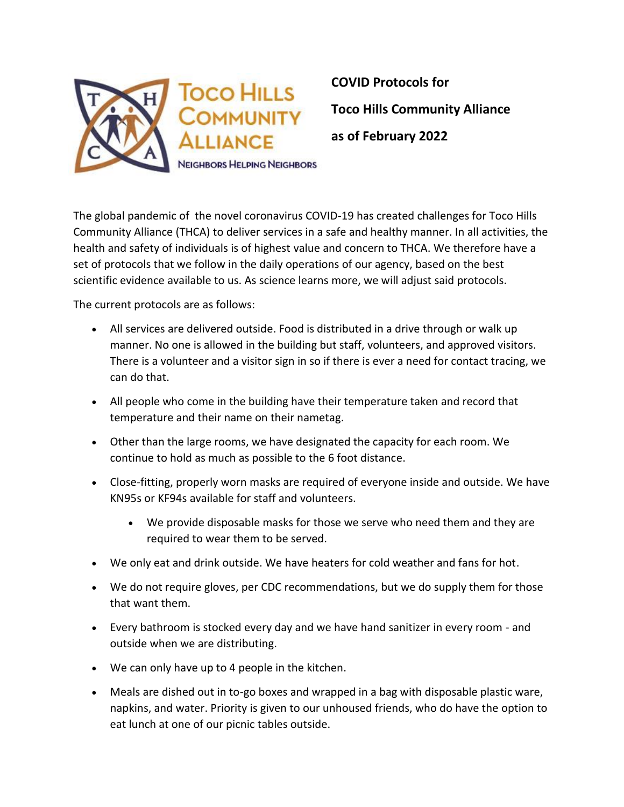

The global pandemic of the novel coronavirus COVID-19 has created challenges for Toco Hills Community Alliance (THCA) to deliver services in a safe and healthy manner. In all activities, the health and safety of individuals is of highest value and concern to THCA. We therefore have a set of protocols that we follow in the daily operations of our agency, based on the best scientific evidence available to us. As science learns more, we will adjust said protocols.

The current protocols are as follows:

- All services are delivered outside. Food is distributed in a drive through or walk up manner. No one is allowed in the building but staff, volunteers, and approved visitors. There is a volunteer and a visitor sign in so if there is ever a need for contact tracing, we can do that.
- All people who come in the building have their temperature taken and record that temperature and their name on their nametag.
- Other than the large rooms, we have designated the capacity for each room. We continue to hold as much as possible to the 6 foot distance.
- Close-fitting, properly worn masks are required of everyone inside and outside. We have KN95s or KF94s available for staff and volunteers.
	- We provide disposable masks for those we serve who need them and they are required to wear them to be served.
- We only eat and drink outside. We have heaters for cold weather and fans for hot.
- We do not require gloves, per CDC recommendations, but we do supply them for those that want them.
- Every bathroom is stocked every day and we have hand sanitizer in every room and outside when we are distributing.
- We can only have up to 4 people in the kitchen.
- Meals are dished out in to-go boxes and wrapped in a bag with disposable plastic ware, napkins, and water. Priority is given to our unhoused friends, who do have the option to eat lunch at one of our picnic tables outside.